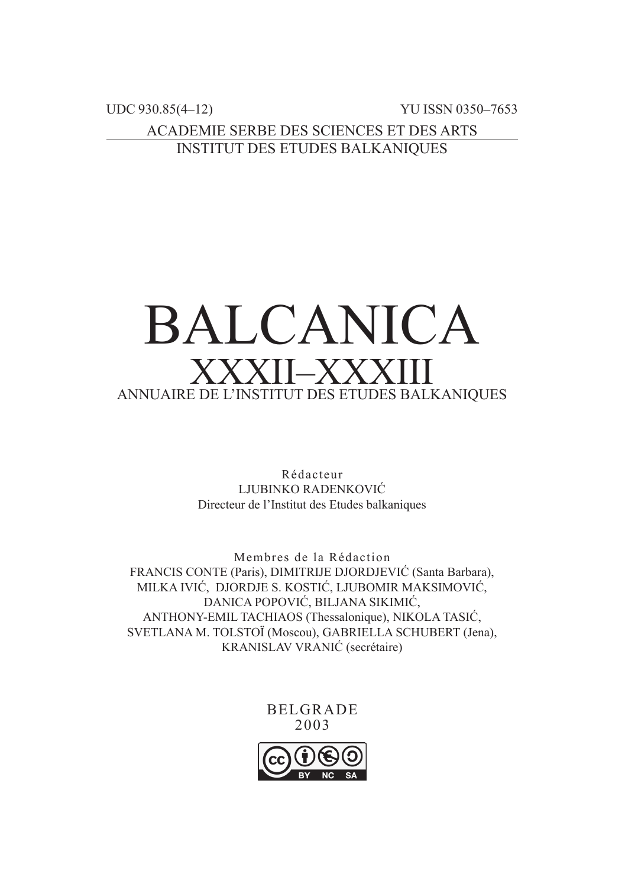UDC 930.85(4–12) YU ISSN 0350–7653

ACADEMIE SERBE DES SCIENCES ET DES ARTS INSTITUT DES ETUDES BALKANIQUES

# BALCANICA XXXII–XXXIII ANNUAIRE DE L'INSTITUT DES ETUDES BALKANIQUES

Rédacteur LJUBINKO RADENKOVIĆ Directeur de l'Institut des Etudes balkaniques

Membres de la Rédaction FRANCIS CONTE (Paris), DIMITRIJE DJORDJEVIĆ (Santa Barbara), MILKA IVIĆ, DJORDJE S. KOSTIĆ, LJUBOMIR MAKSIMOVIĆ, DANICA POPOVIĆ, BILJANA SIKIMIĆ, ANTHONY-EMIL TACHIAOS (Thessalonique), NIKOLA TASIĆ, SVETLANA M. TOLSTOÏ (Moscou), GABRIELLA SCHUBERT (Jena), KRANISLAV VRANIĆ (secrétaire)

> BELGRADE 2003

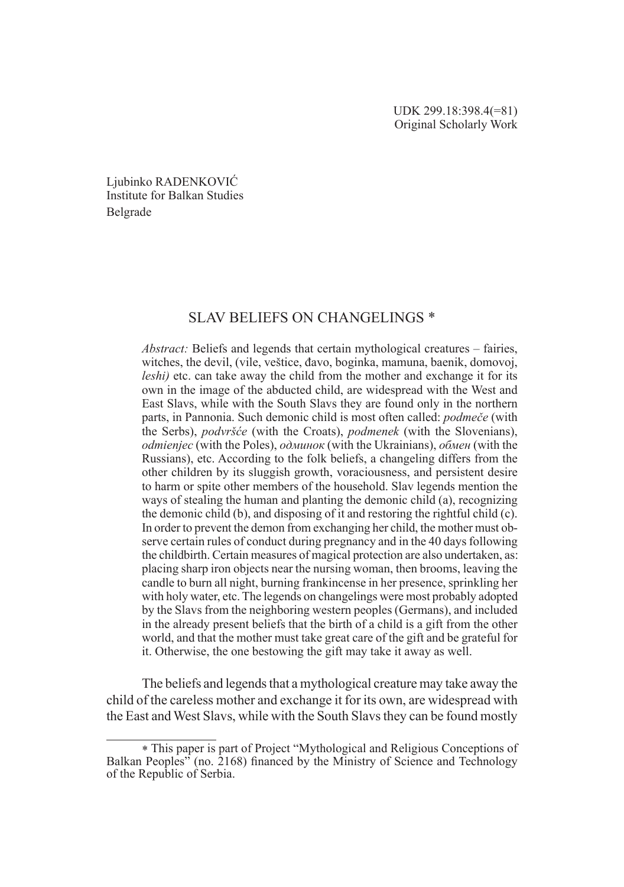Ljubinko RADENKOVIĆ Institute for Balkan Studies Belgrade

# SLAV BELIEFS ON CHANGELINGS \*

*Abstract:* Beliefs and legends that certain mythological creatures – fairies, witches, the devil, (vile, veštice, đavo, boginka, mamuna, baenik, domovoj, *leshi*) etc. can take away the child from the mother and exchange it for its own in the image of the abducted child, are widespread with the West and East Slavs, while with the South Slavs they are found only in the northern parts, in Pannonia. Such demonic child is most often called: *podmeče* (with the Serbs), *podvršće* (with the Croats), *podmenek* (with the Slovenians), *odmienjec* (with the Poles), *одминок* (with the Ukrainians), *обмен* (with the Russians), etc. According to the folk beliefs, a changeling differs from the other children by its sluggish growth, voraciousness, and persistent desire to harm or spite other members of the household. Slav legends mention the ways of stealing the human and planting the demonic child (a), recognizing the demonic child (b), and disposing of it and restoring the rightful child (c). In order to prevent the demon from exchanging her child, the mother must observe certain rules of conduct during pregnancy and in the 40 days following the childbirth. Certain measures of magical protection are also undertaken, as: placing sharp iron objects near the nursing woman, then brooms, leaving the candle to burn all night, burning frankincense in her presence, sprinkling her with holy water, etc. The legends on changelings were most probably adopted by the Slavs from the neighboring western peoples (Germans), and included in the already present beliefs that the birth of a child is a gift from the other world, and that the mother must take great care of the gift and be grateful for it. Otherwise, the one bestowing the gift may take it away as well.

The beliefs and legends that a mythological creature may take away the child of the careless mother and exchange it for its own, are widespread with the East and West Slavs, while with the South Slavs they can be found mostly

<sup>∗</sup> This paper is part of Project "Mythological and Religious Conceptions of Balkan Peoples<sup>3</sup> (no. 2168) financed by the Ministry of Science and Technology of the Republic of Serbia.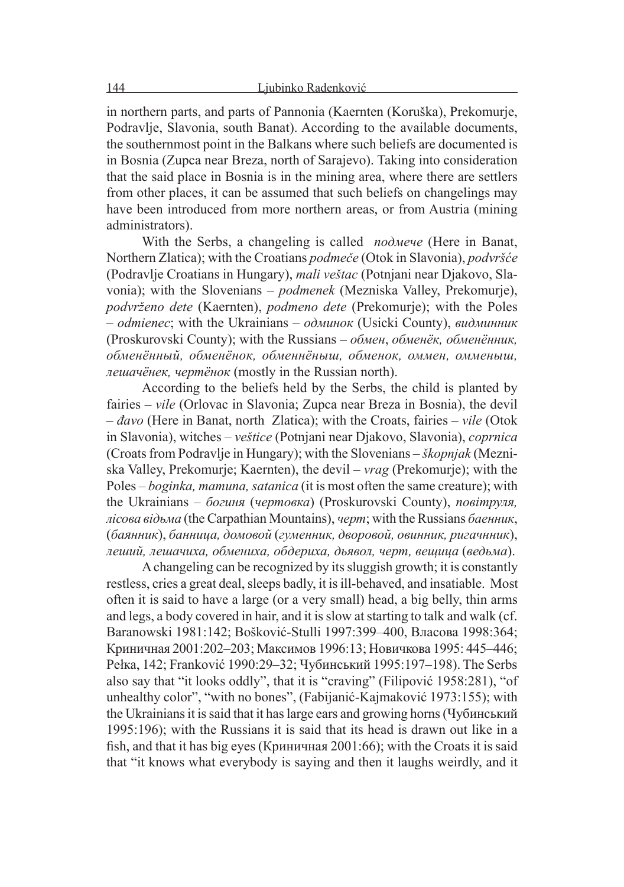in northern parts, and parts of Pannonia (Kaernten (Koruška), Prekomurje, Podravlje, Slavonia, south Banat). According to the available documents, the southernmost point in the Balkans where such beliefs are documented is in Bosnia (Zupca near Breza, north of Sarajevo). Taking into consideration that the said place in Bosnia is in the mining area, where there are settlers from other places, it can be assumed that such beliefs on changelings may have been introduced from more northern areas, or from Austria (mining administrators).

With the Serbs, a changeling is called *подмече* (Here in Banat, Northern Zlatica); with the Croatians *podmeče* (Otok in Slavonia), *podvršće* (Podravlje Croatians in Hungary), *mali veštac* (Potnjani near Djakovo, Slavonia); with the Slovenians – *podmenek* (Mezniska Valley, Prekomurje), *podvrženo dete* (Kaernten), *podmeno dete* (Prekomurje); with the Poles – *odmienec*; with the Ukrainians – *одминок* (Usicki County), *видминник* (Proskurovski County); with the Russians – *обмен*, *обменёк, обменённик, обменённый, обменёнок, обменнёныш, обменок, оммен, омменыш, лешачёнек, чертёнок* (mostly in the Russian north).

According to the beliefs held by the Serbs, the child is planted by fairies – *vile* (Orlovac in Slavonia; Zupca near Breza in Bosnia), the devil – *đavo* (Here in Banat, north Zlatica); with the Croats, fairies – *vile* (Otok in Slavonia), witches – *veštice* (Potnjani near Djakovo, Slavonia), *coprnica* (Croats from Podravlje in Hungary); with the Slovenians – *škopnjak* (Mezniska Valley, Prekomurje; Kaernten), the devil – *vrag* (Prekomurje); with the Poles – *boginka, mamuna, satanica* (it is most often the same creature); with the Ukrainians – *богиня* (*чертовка*) (Proskurovski County), *повiтруля, лiсова вiдьма* (the Carpathian Mountains), *черт*; with the Russians *баенник*, (*баянник*), *банница, домовой* (*гуменник, дворовой, овинник, ригачнник*), *леший, лешачиха, обмениха, обдериха, дьявол, черт, вещица* (*ведьма*).

A changeling can be recognized by its sluggish growth; it is constantly restless, cries a great deal, sleeps badly, it is ill-behaved, and insatiable. Most often it is said to have a large (or a very small) head, a big belly, thin arms and legs, a body covered in hair, and it is slow at starting to talk and walk (cf. Baranowski 1981:142; Bošković-Stulli 1997:399–400, Власова 1998:364; Криничная 2001:202–203; Максимов 1996:13; Новичкова 1995: 445–446; Pełка, 142; Franković 1990:29–32; Чубинський 1995:197–198). The Serbs also say that "it looks oddly", that it is "craving" (Filipović 1958:281), "of unhealthy color", "with no bones", (Fabijanić-Kajmaković 1973:155); with the Ukrainians it is said that it has large ears and growing horns (Чубинський 1995:196); with the Russians it is said that its head is drawn out like in a fish, and that it has big eyes (Криничная 2001:66); with the Croats it is said that "it knows what everybody is saying and then it laughs weirdly, and it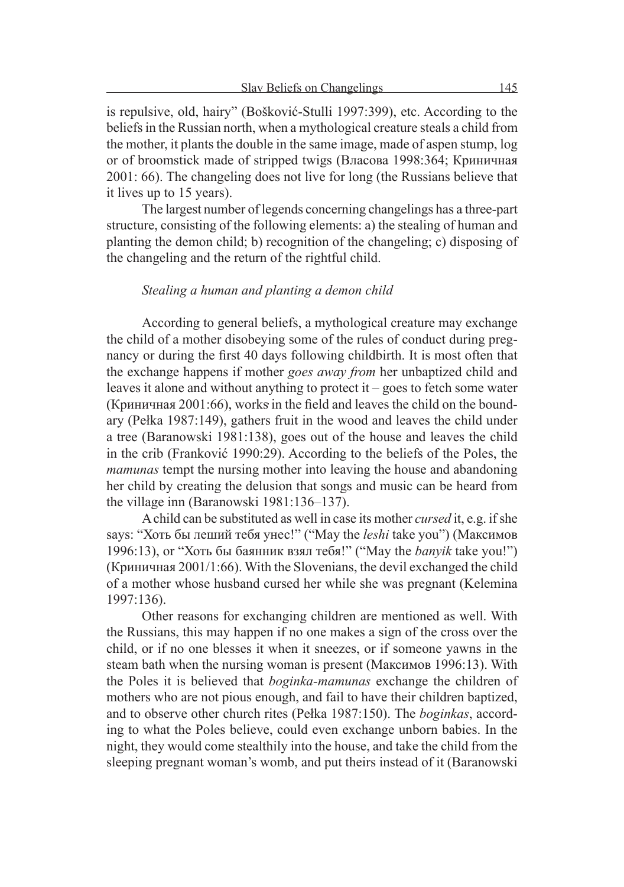is repulsive, old, hairy" (Bošković-Stulli 1997:399), etc. According to the beliefs in the Russian north, when a mythological creature steals a child from the mother, it plants the double in the same image, made of aspen stump, log or of broomstick made of stripped twigs (Власова 1998:364; Криничная 2001: 66). The changeling does not live for long (the Russians believe that it lives up to 15 years).

The largest number of legends concerning changelings has a three-part structure, consisting of the following elements: a) the stealing of human and planting the demon child; b) recognition of the changeling; c) disposing of the changeling and the return of the rightful child.

#### *Stealing a human and planting a demon child*

According to general beliefs, a mythological creature may exchange the child of a mother disobeying some of the rules of conduct during pregnancy or during the first 40 days following childbirth. It is most often that the exchange happens if mother *goes away from* her unbaptized child and leaves it alone and without anything to protect it – goes to fetch some water (Криничная 2001:66), works in the field and leaves the child on the boundary (Pełka 1987:149), gathers fruit in the wood and leaves the child under a tree (Baranowski 1981:138), goes out of the house and leaves the child in the crib (Franković 1990:29). According to the beliefs of the Poles, the *mamunas* tempt the nursing mother into leaving the house and abandoning her child by creating the delusion that songs and music can be heard from the village inn (Baranowski 1981:136–137).

A child can be substituted as well in case its mother *cursed* it, e.g. if she says: "Хоть бы леший тебя унес!" ("May the *leshi* take you") (Максимов 1996:13), or "Хоть бы баянник взял тебя!" ("May the *banyik* take you!") (Криничная 2001/1:66). With the Slovenians, the devil exchanged the child of a mother whose husband cursed her while she was pregnant (Kelemina 1997:136).

Other reasons for exchanging children are mentioned as well. With the Russians, this may happen if no one makes a sign of the cross over the child, or if no one blesses it when it sneezes, or if someone yawns in the steam bath when the nursing woman is present (Максимов 1996:13). With the Poles it is believed that *boginka-mamunas* exchange the children of mothers who are not pious enough, and fail to have their children baptized, and to observe other church rites (Pełka 1987:150). The *boginkas*, according to what the Poles believe, could even exchange unborn babies. In the night, they would come stealthily into the house, and take the child from the sleeping pregnant woman's womb, and put theirs instead of it (Baranowski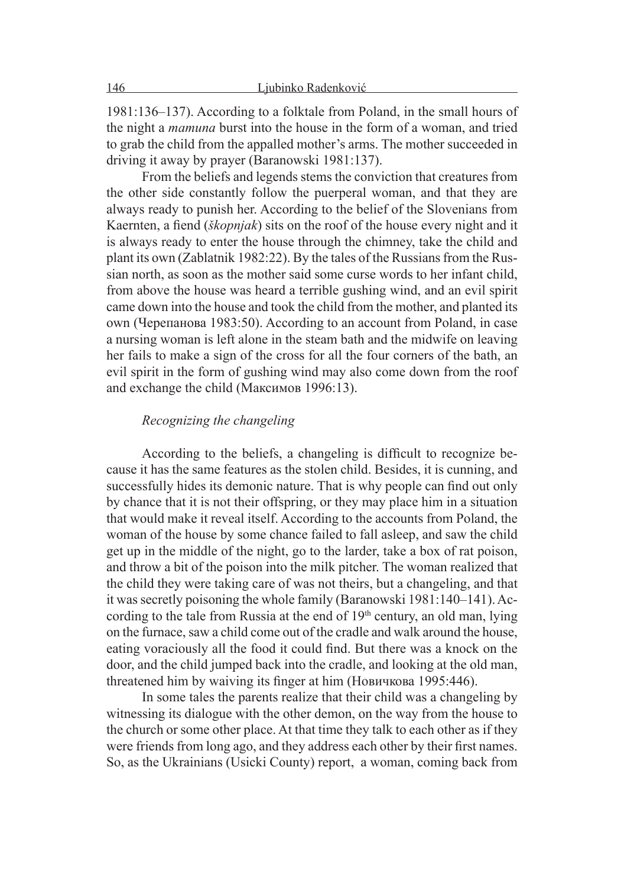1981:136–137). According to a folktale from Poland, in the small hours of the night a *mamuna* burst into the house in the form of a woman, and tried to grab the child from the appalled mother's arms. The mother succeeded in driving it away by prayer (Baranowski 1981:137).

From the beliefs and legends stems the conviction that creatures from the other side constantly follow the puerperal woman, and that they are always ready to punish her. According to the belief of the Slovenians from Kaernten, a fiend (*škopnjak*) sits on the roof of the house every night and it is always ready to enter the house through the chimney, take the child and plant its own (Zablatnik 1982:22). By the tales of the Russians from the Russian north, as soon as the mother said some curse words to her infant child, from above the house was heard a terrible gushing wind, and an evil spirit came down into the house and took the child from the mother, and planted its own (Черепанова 1983:50). According to an account from Poland, in case a nursing woman is left alone in the steam bath and the midwife on leaving her fails to make a sign of the cross for all the four corners of the bath, an evil spirit in the form of gushing wind may also come down from the roof and exchange the child (Максимов 1996:13).

# *Recognizing the changeling*

According to the beliefs, a changeling is difficult to recognize because it has the same features as the stolen child. Besides, it is cunning, and successfully hides its demonic nature. That is why people can find out only by chance that it is not their offspring, or they may place him in a situation that would make it reveal itself. According to the accounts from Poland, the woman of the house by some chance failed to fall asleep, and saw the child get up in the middle of the night, go to the larder, take a box of rat poison, and throw a bit of the poison into the milk pitcher. The woman realized that the child they were taking care of was not theirs, but a changeling, and that it was secretly poisoning the whole family (Baranowski 1981:140–141). According to the tale from Russia at the end of  $19<sup>th</sup>$  century, an old man, lying on the furnace, saw a child come out of the cradle and walk around the house, eating voraciously all the food it could find. But there was a knock on the door, and the child jumped back into the cradle, and looking at the old man, threatened him by waiving its finger at him (Новичкова 1995:446).

In some tales the parents realize that their child was a changeling by witnessing its dialogue with the other demon, on the way from the house to the church or some other place. At that time they talk to each other as if they were friends from long ago, and they address each other by their first names. So, as the Ukrainians (Usicki County) report, a woman, coming back from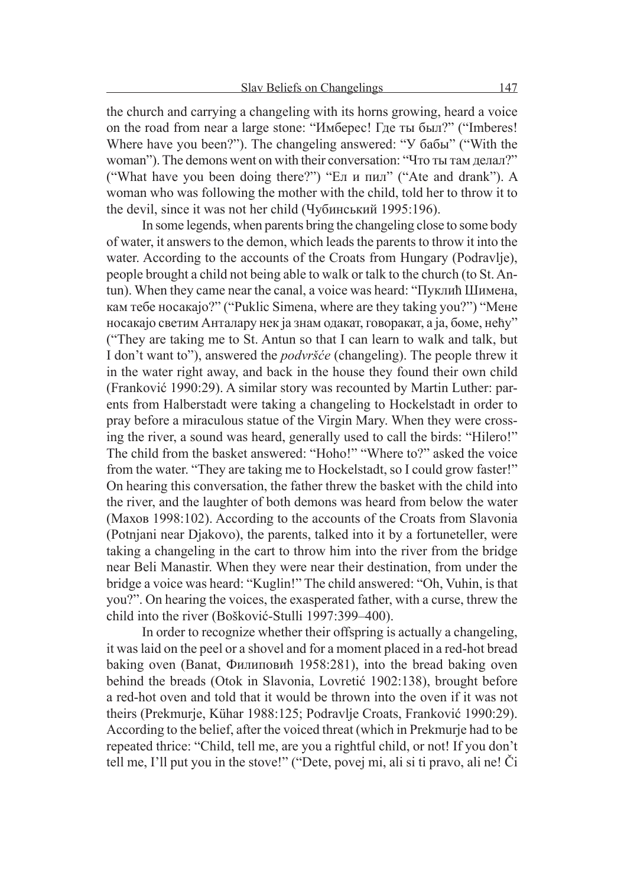the church and carrying a changeling with its horns growing, heard a voice on the road from near a large stone: "Имберес! Где ты был?" ("Imberes! Where have you been?"). The changeling answered: "У бабы" ("With the woman"). The demons went on with their conversation: "Что ты там делал?" ("What have you been doing there?") "Ел и пил" ("Ate and drank"). A woman who was following the mother with the child, told her to throw it to the devil, since it was not her child (Чубинський 1995:196).

In some legends, when parents bring the changeling close to some body of water, it answers to the demon, which leads the parents to throw it into the water. According to the accounts of the Croats from Hungary (Podravlje), people brought a child not being able to walk or talk to the church (to St. Antun). When they came near the canal, a voice was heard: "Пуклић Шимена, кам тебе носакајо?" ("Puklic Simena, where are they taking you?") "Мене носакајо светим Анталару нек ја знам одакат, говоракат, а ја, боме, нећу" ("They are taking me to St. Antun so that I can learn to walk and talk, but I don't want to"), answered the *podvršće* (changeling). The people threw it in the water right away, and back in the house they found their own child (Franković 1990:29). A similar story was recounted by Martin Luther: parents from Halberstadt were taking a changeling to Hockelstadt in order to pray before a miraculous statue of the Virgin Mary. When they were crossing the river, a sound was heard, generally used to call the birds: "Hilero!" The child from the basket answered: "Hoho!" "Where to?" asked the voice from the water. "They are taking me to Hockelstadt, so I could grow faster!" On hearing this conversation, the father threw the basket with the child into the river, and the laughter of both demons was heard from below the water (Махов 1998:102). According to the accounts of the Croats from Slavonia (Potnjani near Djakovo), the parents, talked into it by a fortuneteller, were taking a changeling in the cart to throw him into the river from the bridge near Beli Manastir. When they were near their destination, from under the bridge a voice was heard: "Kuglin!" The child answered: "Oh, Vuhin, is that you?". On hearing the voices, the exasperated father, with a curse, threw the child into the river (Bošković-Stulli 1997:399–400).

In order to recognize whether their offspring is actually a changeling, it was laid on the peel or a shovel and for a moment placed in a red-hot bread baking oven (Banat, Филиповић 1958:281), into the bread baking oven behind the breads (Otok in Slavonia, Lovretić 1902:138), brought before a red-hot oven and told that it would be thrown into the oven if it was not theirs (Prekmurje, Kühar 1988:125; Podravlje Croats, Franković 1990:29). According to the belief, after the voiced threat (which in Prekmurje had to be repeated thrice: "Child, tell me, are you a rightful child, or not! If you don't tell me, I'll put you in the stove!" ("Dete, povej mi, ali si ti pravo, ali ne! Či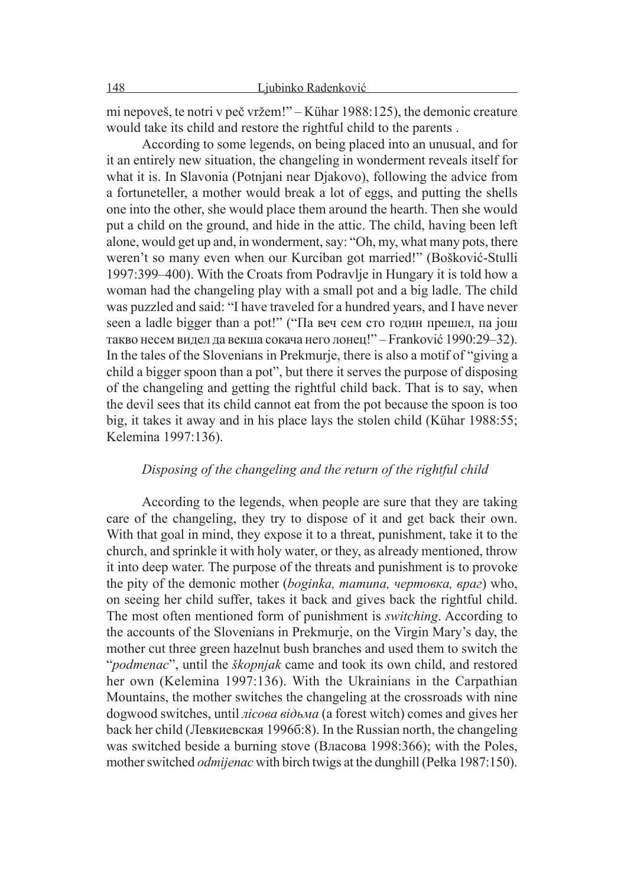mi nepoveš, te notri v peč vržem!" – Kühar 1988:125), the demonic creature would take its child and restore the rightful child to the parents .

According to some legends, on being placed into an unusual, and for it an entirely new situation, the changeling in wonderment reveals itself for what it is. In Slavonia (Potnjani near Djakovo), following the advice from a fortuneteller, a mother would break a lot of eggs, and putting the shells one into the other, she would place them around the hearth. Then she would put a child on the ground, and hide in the attic. The child, having been left alone, would get up and, in wonderment, say: "Oh, my, what many pots, there weren't so many even when our Kurciban got married!" (Bošković-Stulli 1997:399–400). With the Croats from Podravlje in Hungary it is told how a woman had the changeling play with a small pot and a big ladle. The child was puzzled and said: "I have traveled for a hundred years, and I have never seen a ladle bigger than a pot!" ("Па веч сем сто годин прешел, па још такво несем видел да векша сокача него лонец!" – Franković 1990:29–32). In the tales of the Slovenians in Prekmurje, there is also a motif of "giving a child a bigger spoon than a pot", but there it serves the purpose of disposing of the changeling and getting the rightful child back. That is to say, when the devil sees that its child cannot eat from the pot because the spoon is too big, it takes it away and in his place lays the stolen child (Kühar 1988:55; Kelemina 1997:136).

# *Disposing of the changeling and the return of the rightful child*

According to the legends, when people are sure that they are taking care of the changeling, they try to dispose of it and get back their own. With that goal in mind, they expose it to a threat, punishment, take it to the church, and sprinkle it with holy water, or they, as already mentioned, throw it into deep water. The purpose of the threats and punishment is to provoke the pity of the demonic mother (*boginka, mamuna, чертовкa, враг*) who, on seeing her child suffer, takes it back and gives back the rightful child. The most often mentioned form of punishment is *switching*. According to the accounts of the Slovenians in Prekmurje, on the Virgin Mary's day, the mother cut three green hazelnut bush branches and used them to switch the "*podmenac*", until the *škopnjak* came and took its own child, and restored her own (Kelemina 1997:136). With the Ukrainians in the Carpathian Mountains, the mother switches the changeling at the crossroads with nine dogwood switches, until *лiсова вiдьма* (a forest witch) comes and gives her back her child (Левкиевская 1996б:8). In the Russian north, the changeling was switched beside a burning stove (Власова 1998:366); with the Poles, mother switched *odmijenac* with birch twigs at the dunghill (Pełka 1987:150).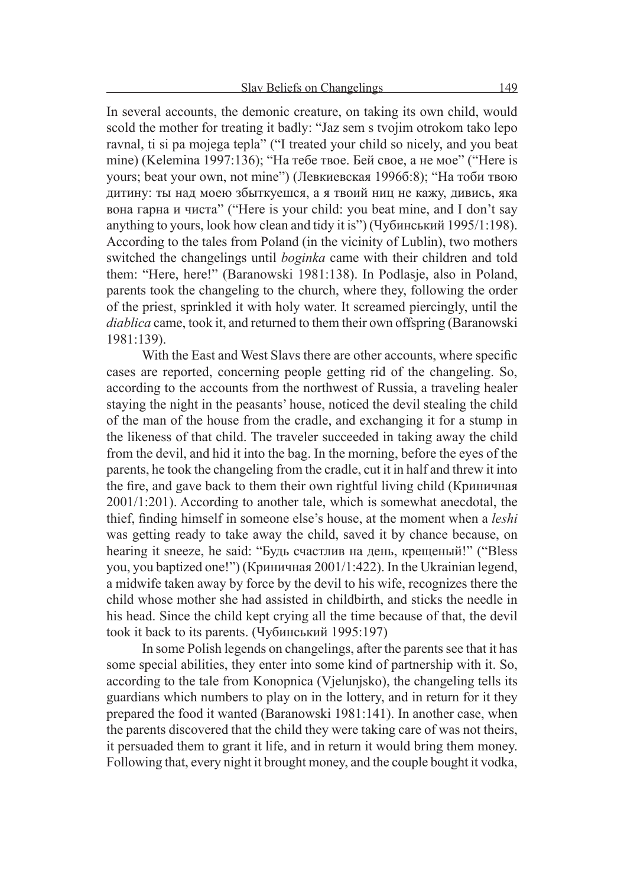In several accounts, the demonic creature, on taking its own child, would scold the mother for treating it badly: "Jaz sem s tvojim otrokom tako lepo ravnal, ti si pa mojega tepla" ("I treated your child so nicely, and you beat mine) (Kelemina 1997:136); "На тебе твое. Бей свое, а не мое" ("Here is yours; beat your own, not mine") (Левкиевская 1996б:8); "На тоби твою дитину: ты над моею збыткуешся, а я твоий ниц не кажу, дивись, яка вона гарна и чиста" ("Here is your child: you beat mine, and I don't say anything to yours, look how clean and tidy it is") (Чубинський 1995/1:198). According to the tales from Poland (in the vicinity of Lublin), two mothers switched the changelings until *boginka* came with their children and told them: "Here, here!" (Baranowski 1981:138). In Podlasje, also in Poland, parents took the changeling to the church, where they, following the order of the priest, sprinkled it with holy water. It screamed piercingly, until the *diablica* came, took it, and returned to them their own offspring (Baranowski 1981:139).

With the East and West Slavs there are other accounts, where specific cases are reported, concerning people getting rid of the changeling. So, according to the accounts from the northwest of Russia, a traveling healer staying the night in the peasants' house, noticed the devil stealing the child of the man of the house from the cradle, and exchanging it for a stump in the likeness of that child. The traveler succeeded in taking away the child from the devil, and hid it into the bag. In the morning, before the eyes of the parents, he took the changeling from the cradle, cut it in half and threw it into the fire, and gave back to them their own rightful living child (Криничная 2001/1:201). According to another tale, which is somewhat anecdotal, the thief, finding himself in someone else's house, at the moment when a *leshi* was getting ready to take away the child, saved it by chance because, on hearing it sneeze, he said: "Будь счастлив на день, крещеный!" ("Bless you, you baptized one!") (Криничная 2001/1:422). In the Ukrainian legend, a midwife taken away by force by the devil to his wife, recognizes there the child whose mother she had assisted in childbirth, and sticks the needle in his head. Since the child kept crying all the time because of that, the devil took it back to its parents. (Чубинський 1995:197)

In some Polish legends on changelings, after the parents see that it has some special abilities, they enter into some kind of partnership with it. So, according to the tale from Konopnica (Vjelunjsko), the changeling tells its guardians which numbers to play on in the lottery, and in return for it they prepared the food it wanted (Baranowski 1981:141). In another case, when the parents discovered that the child they were taking care of was not theirs, it persuaded them to grant it life, and in return it would bring them money. Following that, every night it brought money, and the couple bought it vodka,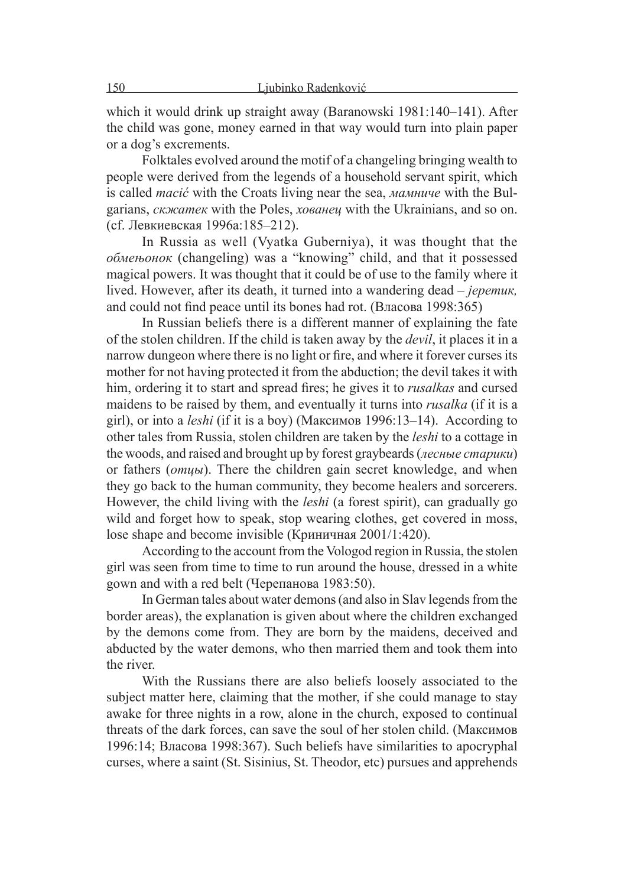which it would drink up straight away (Baranowski 1981:140–141). After the child was gone, money earned in that way would turn into plain paper or a dog's excrements.

Folktales evolved around the motif of a changeling bringing wealth to people were derived from the legends of a household servant spirit, which is called *macić* with the Croats living near the sea, *мамниче* with the Bulgarians, *скжатек* with the Poles, *хованец* with the Ukrainians, and so on. (cf. Левкиевская 1996а:185–212).

In Russia as well (Vyatka Guberniya), it was thought that the *обмењонок* (changeling) was a "knowing" child, and that it possessed magical powers. It was thought that it could be of use to the family where it lived. However, after its death, it turned into a wandering dead – *јеретик,* and could not find peace until its bones had rot. (Власова 1998:365)

In Russian beliefs there is a different manner of explaining the fate of the stolen children. If the child is taken away by the *devil*, it places it in a narrow dungeon where there is no light or fire, and where it forever curses its mother for not having protected it from the abduction; the devil takes it with him, ordering it to start and spread fires; he gives it to *rusalkas* and cursed maidens to be raised by them, and eventually it turns into *rusalka* (if it is a girl), or into a *leshi* (if it is a boy) (Максимов 1996:13–14). According to other tales from Russia, stolen children are taken by the *leshi* to a cottage in the woods, and raised and brought up by forest graybeards (*лесные старики*) or fathers (*отцы*). There the children gain secret knowledge, and when they go back to the human community, they become healers and sorcerers. However, the child living with the *leshi* (a forest spirit), can gradually go wild and forget how to speak, stop wearing clothes, get covered in moss, lose shape and become invisible (Криничная 2001/1:420).

According to the account from the Vologod region in Russia, the stolen girl was seen from time to time to run around the house, dressed in a white gown and with a red belt (Черепанова 1983:50).

In German tales about water demons (and also in Slav legends from the border areas), the explanation is given about where the children exchanged by the demons come from. They are born by the maidens, deceived and abducted by the water demons, who then married them and took them into the river.

With the Russians there are also beliefs loosely associated to the subject matter here, claiming that the mother, if she could manage to stay awake for three nights in a row, alone in the church, exposed to continual threats of the dark forces, can save the soul of her stolen child. (Максимов 1996:14; Власова 1998:367). Such beliefs have similarities to apocryphal curses, where a saint (St. Sisinius, St. Theodor, etc) pursues and apprehends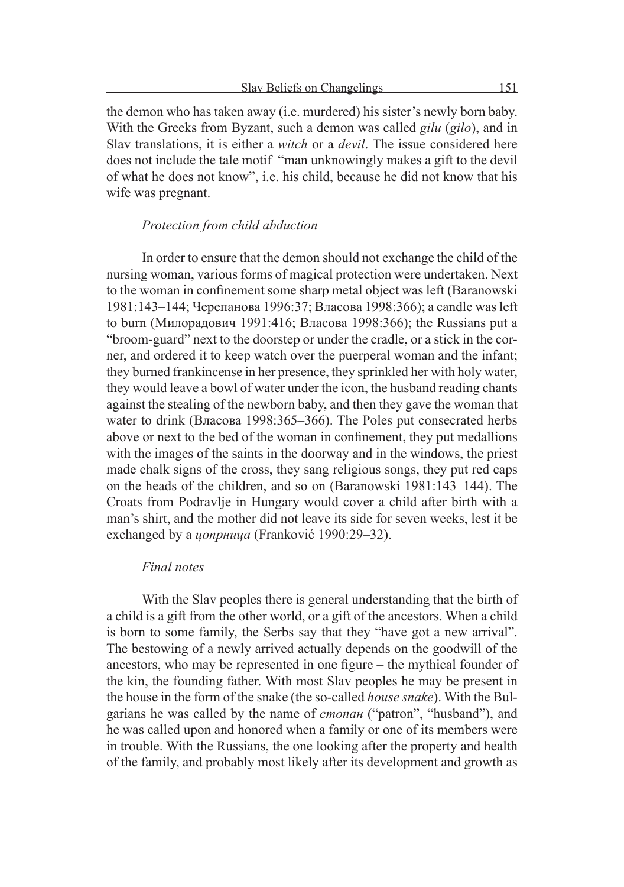the demon who has taken away (i.e. murdered) his sister's newly born baby. With the Greeks from Byzant, such a demon was called *gilu* (*gilo*), and in Slav translations, it is either a *witch* or a *devil*. The issue considered here does not include the tale motif "man unknowingly makes a gift to the devil of what he does not know", i.e. his child, because he did not know that his wife was pregnant.

## *Protection from child abduction*

In order to ensure that the demon should not exchange the child of the nursing woman, various forms of magical protection were undertaken. Next to the woman in confinement some sharp metal object was left (Baranowski 1981:143–144; Черепанова 1996:37; Власова 1998:366); a candle was left to burn (Милорадович 1991:416; Власова 1998:366); the Russians put a "broom-guard" next to the doorstep or under the cradle, or a stick in the corner, and ordered it to keep watch over the puerperal woman and the infant; they burned frankincense in her presence, they sprinkled her with holy water, they would leave a bowl of water under the icon, the husband reading chants against the stealing of the newborn baby, and then they gave the woman that water to drink (Власова 1998:365–366). The Poles put consecrated herbs above or next to the bed of the woman in confinement, they put medallions with the images of the saints in the doorway and in the windows, the priest made chalk signs of the cross, they sang religious songs, they put red caps on the heads of the children, and so on (Baranowski 1981:143–144). The Croats from Podravlje in Hungary would cover a child after birth with a man's shirt, and the mother did not leave its side for seven weeks, lest it be exchanged by a *цопрница* (Franković 1990:29–32).

## *Final notes*

With the Slav peoples there is general understanding that the birth of a child is a gift from the other world, or a gift of the ancestors. When a child is born to some family, the Serbs say that they "have got a new arrival". The bestowing of a newly arrived actually depends on the goodwill of the ancestors, who may be represented in one figure – the mythical founder of the kin, the founding father. With most Slav peoples he may be present in the house in the form of the snake (the so-called *house snake*). With the Bulgarians he was called by the name of *стопан* ("patron", "husband"), and he was called upon and honored when a family or one of its members were in trouble. With the Russians, the one looking after the property and health of the family, and probably most likely after its development and growth as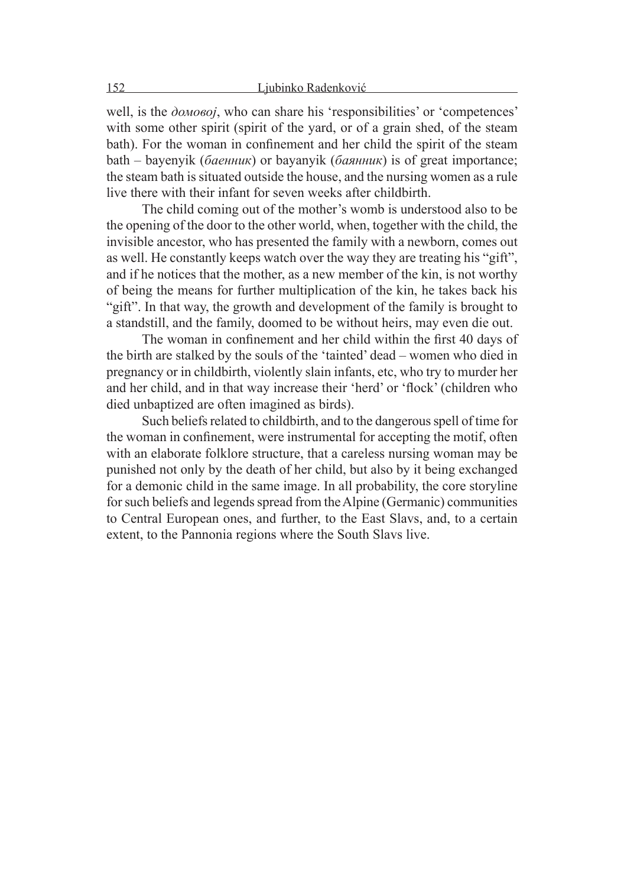well, is the  $\partial \omega$ ново*ј*, who can share his 'responsibilities' or 'competences' with some other spirit (spirit of the yard, or of a grain shed, of the steam bath). For the woman in confinement and her child the spirit of the steam bath – bayenyik (*баенник*) or bayanyik (*баянник*) is of great importance; the steam bath is situated outside the house, and the nursing women as a rule live there with their infant for seven weeks after childbirth.

The child coming out of the mother's womb is understood also to be the opening of the door to the other world, when, together with the child, the invisible ancestor, who has presented the family with a newborn, comes out as well. He constantly keeps watch over the way they are treating his "gift", and if he notices that the mother, as a new member of the kin, is not worthy of being the means for further multiplication of the kin, he takes back his "gift". In that way, the growth and development of the family is brought to a standstill, and the family, doomed to be without heirs, may even die out.

The woman in confinement and her child within the first 40 days of the birth are stalked by the souls of the 'tainted' dead – women who died in pregnancy or in childbirth, violently slain infants, etc, who try to murder her and her child, and in that way increase their 'herd' or 'flock' (children who died unbaptized are often imagined as birds).

Such beliefs related to childbirth, and to the dangerous spell of time for the woman in confinement, were instrumental for accepting the motif, often with an elaborate folklore structure, that a careless nursing woman may be punished not only by the death of her child, but also by it being exchanged for a demonic child in the same image. In all probability, the core storyline for such beliefs and legends spread from the Alpine (Germanic) communities to Central European ones, and further, to the East Slavs, and, to a certain extent, to the Pannonia regions where the South Slavs live.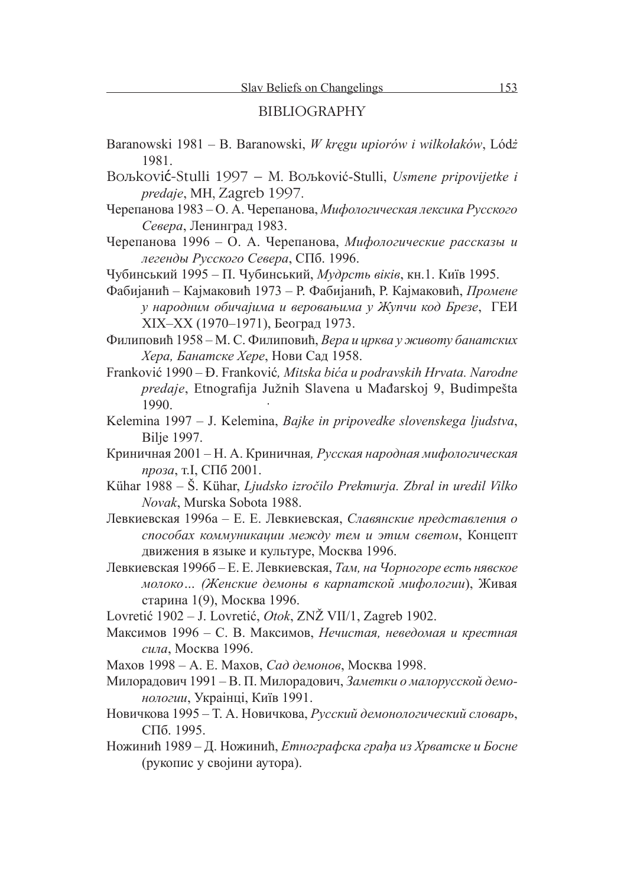### BIBLIOGRAPHY

- Baranowski 1981 B. Baranowski, *W kręgu upiorów i wilkołaków*, Lód*ż* 1981.
- Bošković-Stulli 1997 M. Bošković-Stulli, *Usmene pripovijetke i predaje*, MH, Zagreb 1997.
- Черепанова 1983 О. А. Черепанова, *Мифологическая лексика Русского Севера*, Ленинград 1983.
- Черепанова 1996 О. А. Черепанова, *Мифологические рассказы и легенды Русского Севера*, СПб. 1996.
- Чубинський 1995 П. Чубинський, *Мудрсть вiкiв*, кн.1. Київ 1995.
- Фабијанић Кајмаковић 1973 Р. Фабијанић, Р. Кајмаковић, *Промене у народним обичајима и веровањима у Жупчи код Брезе*, ГЕИ XIX–XX (1970–1971), Београд 1973.
- Филиповић 1958 М. С. Филиповић, *Вера и црква у животу банатских Хера, Банатске Хере*, Нови Сад 1958.
- Franković 1990 Đ. Franković*, Mitska bića u podravskih Hrvata. Narodne predaje*, Etnografija Južnih Slavena u Mađarskoj 9, Budimpešta 1990.
- Kelemina 1997 J. Kelemina, *Bajke in pripovedke slovenskega ljudstva*, Bilje 1997.
- Криничная 2001 Н. А. Криничная*, Русская народная мифологическая проза*, т.I, СПб 2001.
- Kühar 1988 Š. Kühar, *Ljudsko izročilo Prekmurja. Zbral in uredil Vilko Novak*, Murska Sobota 1988.
- Левкиевская 1996а Е. Е. Левкиевская, *Славянские представления о способах коммуникации между тем и этим светом*, Концепт движения в языке и культуре, Москва 1996.
- Левкиевская 1996б Е. Е. Левкиевская, *Там, на Чорногоре есть нявское молоко… (Женские демоны в карпатской мифологии*), Живая старина 1(9), Москва 1996.
- Lovretić 1902 J. Lovretić, *Otok*, ZNŽ VII/1, Zagreb 1902.
- Максимов 1996 С. В. Максимов, *Нечистая, неведомая и крестная сила*, Москва 1996.
- Махов 1998 А. Е. Махов, *Сад демонов*, Москва 1998.
- Mилорадович 1991 В. П. Милорадович, *Заметки о малорусской демонологии*, Украiнцi, Київ 1991.
- Новичкова 1995 Т. А. Новичкова, *Русский демонологический словарь*, СПб. 1995.
- Ножинић 1989 Д. Ножинић, *Етнографска грађа из Хрватске и Босне* (рукопис у својини аутора).